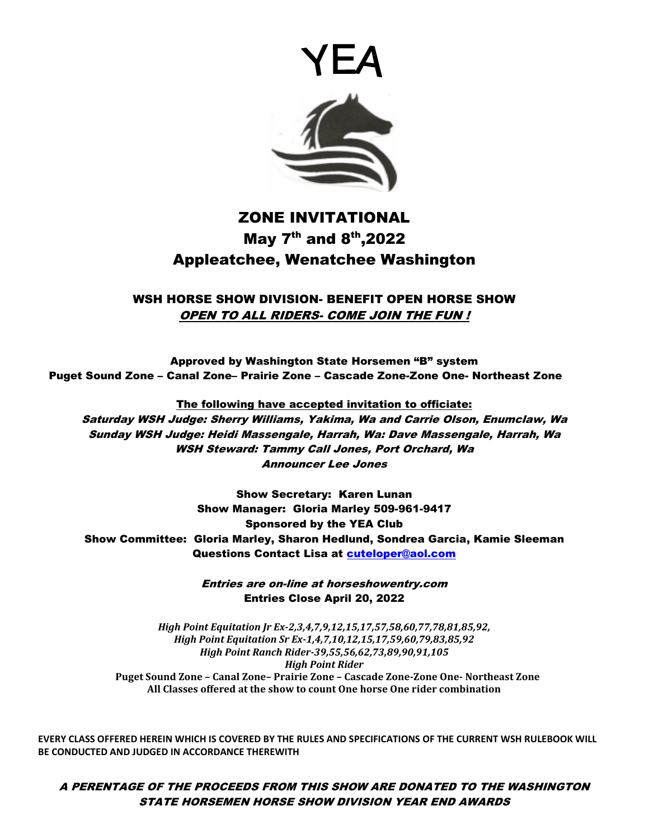



# ZONE INVITATIONAL May  $7^{th}$  and  $8^{th}$ , 2022 Appleatchee, Wenatchee Washington

WSH HORSE SHOW DIVISION- BENEFIT OPEN HORSE SHOW OPEN TO ALL RIDERS- COME JOIN THE FUN !

Approved by Washington State Horsemen "B" system Puget Sound Zone – Canal Zone– Prairie Zone – Cascade Zone-Zone One- Northeast Zone

The following have accepted invitation to officiate: Saturday WSH Judge: Sherry Williams, Yakima, Wa and Carrie Olson, Enumclaw, Wa Sunday WSH Judge: Heidi Massengale, Harrah, Wa: Dave Massengale, Harrah, Wa WSH Steward: Tammy Call Jones, Port Orchard, Wa Announcer Lee Jones

Show Secretary: Karen Lunan Show Manager: Gloria Marley 509-961-9417 Sponsored by the YEA Club Show Committee: Gloria Marley, Sharon Hedlund, Sondrea Garcia, Kamie Sleeman Questions Contact Lisa at [cuteloper@aol.com](mailto:cuteloper@aol.com)

> Entries are on-line at horseshowentry.com Entries Close April 20, 2022

*High Point Equitation Jr Ex-2,3,4,7,9,12,15,17,57,58,60,77,78,81,85,92, High Point Equitation Sr Ex-1,4,7,10,12,15,17,59,60,79,83,85,92 High Point Ranch Rider-39,55,56,62,73,89,90,91,105 High Point Rider*   **Puget Sound Zone – Canal Zone– Prairie Zone – Cascade Zone-Zone One- Northeast Zone All Classes offered at the show to count One horse One rider combination** 

**EVERY CLASS OFFERED HEREIN WHICH IS COVERED BY THE RULES AND SPECIFICATIONS OF THE CURRENT WSH RULEBOOK WILL BE CONDUCTED AND JUDGED IN ACCORDANCE THEREWITH**

A PERENTAGE OF THE PROCEEDS FROM THIS SHOW ARE DONATED TO THE WASHINGTON STATE HORSEMEN HORSE SHOW DIVISION YEAR END AWARDS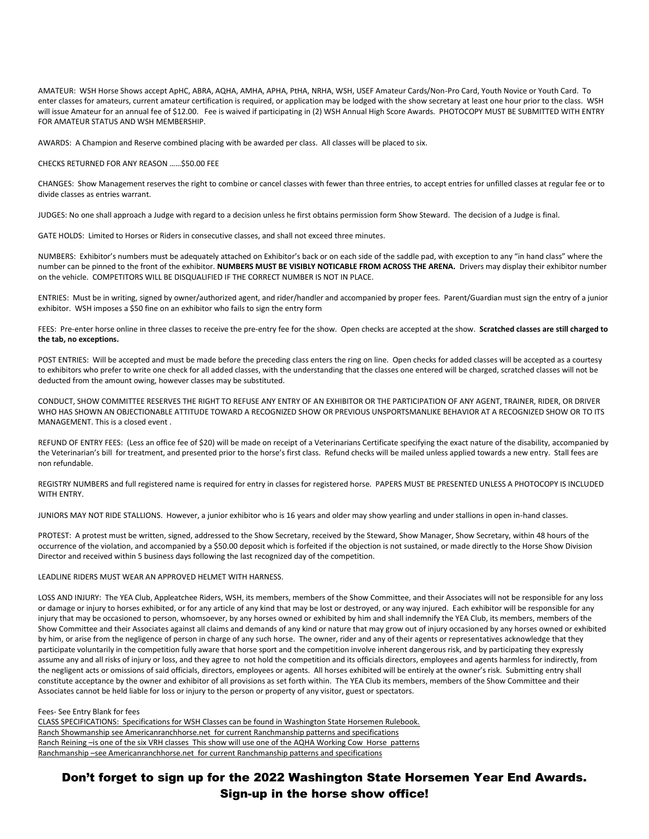AMATEUR: WSH Horse Shows accept ApHC, ABRA, AQHA, AMHA, APHA, PtHA, NRHA, WSH, USEF Amateur Cards/Non-Pro Card, Youth Novice or Youth Card. To enter classes for amateurs, current amateur certification is required, or application may be lodged with the show secretary at least one hour prior to the class. WSH will issue Amateur for an annual fee of \$12.00. Fee is waived if participating in (2) WSH Annual High Score Awards. PHOTOCOPY MUST BE SUBMITTED WITH ENTRY FOR AMATEUR STATUS AND WSH MEMBERSHIP.

AWARDS: A Champion and Reserve combined placing with be awarded per class. All classes will be placed to six.

CHECKS RETURNED FOR ANY REASON ……\$50.00 FEE

CHANGES: Show Management reserves the right to combine or cancel classes with fewer than three entries, to accept entries for unfilled classes at regular fee or to divide classes as entries warrant.

JUDGES: No one shall approach a Judge with regard to a decision unless he first obtains permission form Show Steward. The decision of a Judge is final.

GATE HOLDS: Limited to Horses or Riders in consecutive classes, and shall not exceed three minutes.

NUMBERS: Exhibitor's numbers must be adequately attached on Exhibitor's back or on each side of the saddle pad, with exception to any "in hand class" where the number can be pinned to the front of the exhibitor. **NUMBERS MUST BE VISIBLY NOTICABLE FROM ACROSS THE ARENA.** Drivers may display their exhibitor number on the vehicle. COMPETITORS WILL BE DISQUALIFIED IF THE CORRECT NUMBER IS NOT IN PLACE.

ENTRIES: Must be in writing, signed by owner/authorized agent, and rider/handler and accompanied by proper fees. Parent/Guardian must sign the entry of a junior exhibitor. WSH imposes a \$50 fine on an exhibitor who fails to sign the entry form

FEES: Pre-enter horse online in three classes to receive the pre-entry fee for the show. Open checks are accepted at the show. **Scratched classes are still charged to the tab, no exceptions.** 

POST ENTRIES: Will be accepted and must be made before the preceding class enters the ring on line. Open checks for added classes will be accepted as a courtesy to exhibitors who prefer to write one check for all added classes, with the understanding that the classes one entered will be charged, scratched classes will not be deducted from the amount owing, however classes may be substituted.

CONDUCT, SHOW COMMITTEE RESERVES THE RIGHT TO REFUSE ANY ENTRY OF AN EXHIBITOR OR THE PARTICIPATION OF ANY AGENT, TRAINER, RIDER, OR DRIVER WHO HAS SHOWN AN OBJECTIONABLE ATTITUDE TOWARD A RECOGNIZED SHOW OR PREVIOUS UNSPORTSMANLIKE BEHAVIOR AT A RECOGNIZED SHOW OR TO ITS MANAGEMENT. This is a closed event .

REFUND OF ENTRY FEES: (Less an office fee of \$20) will be made on receipt of a Veterinarians Certificate specifying the exact nature of the disability, accompanied by the Veterinarian's bill for treatment, and presented prior to the horse's first class. Refund checks will be mailed unless applied towards a new entry. Stall fees are non refundable.

REGISTRY NUMBERS and full registered name is required for entry in classes for registered horse. PAPERS MUST BE PRESENTED UNLESS A PHOTOCOPY IS INCLUDED WITH ENTRY.

JUNIORS MAY NOT RIDE STALLIONS. However, a junior exhibitor who is 16 years and older may show yearling and under stallions in open in-hand classes.

PROTEST: A protest must be written, signed, addressed to the Show Secretary, received by the Steward, Show Manager, Show Secretary, within 48 hours of the occurrence of the violation, and accompanied by a \$50.00 deposit which is forfeited if the objection is not sustained, or made directly to the Horse Show Division Director and received within 5 business days following the last recognized day of the competition.

### LEADLINE RIDERS MUST WEAR AN APPROVED HELMET WITH HARNESS.

LOSS AND INJURY: The YEA Club, Appleatchee Riders, WSH, its members, members of the Show Committee, and their Associates will not be responsible for any loss or damage or injury to horses exhibited, or for any article of any kind that may be lost or destroyed, or any way injured. Each exhibitor will be responsible for any injury that may be occasioned to person, whomsoever, by any horses owned or exhibited by him and shall indemnify the YEA Club, its members, members of the Show Committee and their Associates against all claims and demands of any kind or nature that may grow out of injury occasioned by any horses owned or exhibited by him, or arise from the negligence of person in charge of any such horse. The owner, rider and any of their agents or representatives acknowledge that they participate voluntarily in the competition fully aware that horse sport and the competition involve inherent dangerous risk, and by participating they expressly assume any and all risks of injury or loss, and they agree to not hold the competition and its officials directors, employees and agents harmless for indirectly, from the negligent acts or omissions of said officials, directors, employees or agents. All horses exhibited will be entirely at the owner's risk. Submitting entry shall constitute acceptance by the owner and exhibitor of all provisions as set forth within. The YEA Club its members, members of the Show Committee and their Associates cannot be held liable for loss or injury to the person or property of any visitor, guest or spectators.

#### Fees- See Entry Blank for fees

CLASS SPECIFICATIONS: Specifications for WSH Classes can be found in Washington State Horsemen Rulebook. Ranch Showmanship see Americanranchhorse.net for current Ranchmanship patterns and specifications Ranch Reining –is one of the six VRH classes This show will use one of the AQHA Working Cow Horse patterns Ranchmanship –see Americanranchhorse.net for current Ranchmanship patterns and specifications

Don't forget to sign up for the 2022 Washington State Horsemen Year End Awards. Sign-up in the horse show office!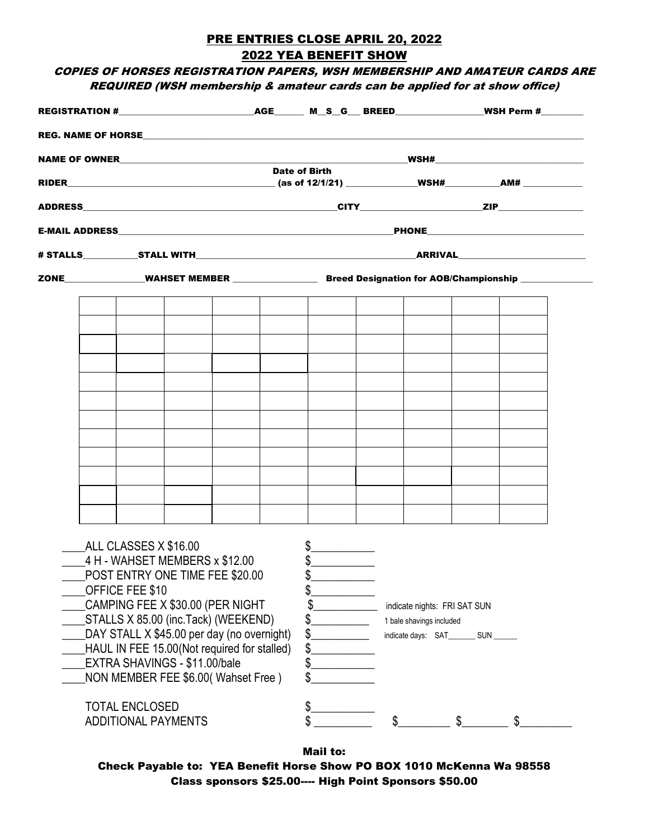# PRE ENTRIES CLOSE APRIL 20, 2022 2022 YEA BENEFIT SHOW

# COPIES OF HORSES REGISTRATION PAPERS, WSH MEMBERSHIP AND AMATEUR CARDS ARE REQUIRED (WSH membership & amateur cards can be applied for at show office)

|  |                                                                                                                                                                                                                                                                                                                                                              |  | <b>Date of Birth</b> |                                                                                                            |  |                                                                                                    |  |  |  |
|--|--------------------------------------------------------------------------------------------------------------------------------------------------------------------------------------------------------------------------------------------------------------------------------------------------------------------------------------------------------------|--|----------------------|------------------------------------------------------------------------------------------------------------|--|----------------------------------------------------------------------------------------------------|--|--|--|
|  |                                                                                                                                                                                                                                                                                                                                                              |  |                      |                                                                                                            |  |                                                                                                    |  |  |  |
|  |                                                                                                                                                                                                                                                                                                                                                              |  |                      |                                                                                                            |  |                                                                                                    |  |  |  |
|  |                                                                                                                                                                                                                                                                                                                                                              |  |                      |                                                                                                            |  |                                                                                                    |  |  |  |
|  |                                                                                                                                                                                                                                                                                                                                                              |  |                      |                                                                                                            |  |                                                                                                    |  |  |  |
|  |                                                                                                                                                                                                                                                                                                                                                              |  |                      | ZONE_________________WAHSET MEMBER ______________________Breed Designation for AOB/Championship __________ |  |                                                                                                    |  |  |  |
|  |                                                                                                                                                                                                                                                                                                                                                              |  |                      |                                                                                                            |  |                                                                                                    |  |  |  |
|  |                                                                                                                                                                                                                                                                                                                                                              |  |                      |                                                                                                            |  |                                                                                                    |  |  |  |
|  |                                                                                                                                                                                                                                                                                                                                                              |  |                      |                                                                                                            |  |                                                                                                    |  |  |  |
|  |                                                                                                                                                                                                                                                                                                                                                              |  |                      |                                                                                                            |  |                                                                                                    |  |  |  |
|  |                                                                                                                                                                                                                                                                                                                                                              |  |                      |                                                                                                            |  |                                                                                                    |  |  |  |
|  |                                                                                                                                                                                                                                                                                                                                                              |  |                      |                                                                                                            |  |                                                                                                    |  |  |  |
|  |                                                                                                                                                                                                                                                                                                                                                              |  |                      |                                                                                                            |  |                                                                                                    |  |  |  |
|  |                                                                                                                                                                                                                                                                                                                                                              |  |                      |                                                                                                            |  |                                                                                                    |  |  |  |
|  |                                                                                                                                                                                                                                                                                                                                                              |  |                      |                                                                                                            |  |                                                                                                    |  |  |  |
|  |                                                                                                                                                                                                                                                                                                                                                              |  |                      |                                                                                                            |  |                                                                                                    |  |  |  |
|  |                                                                                                                                                                                                                                                                                                                                                              |  |                      |                                                                                                            |  |                                                                                                    |  |  |  |
|  | ALL CLASSES X \$16.00<br>4 H - WAHSET MEMBERS x \$12.00<br>POST ENTRY ONE TIME FEE \$20.00<br>OFFICE FEE \$10<br>CAMPING FEE X \$30.00 (PER NIGHT<br>STALLS X 85.00 (inc.Tack) (WEEKEND)<br>DAY STALL X \$45.00 per day (no overnight)<br>HAUL IN FEE 15.00(Not required for stalled)<br>EXTRA SHAVINGS - \$11.00/bale<br>NON MEMBER FEE \$6.00(Wahset Free) |  |                      | $\frac{1}{2}$<br>\$<br>\$.<br>\$.<br>\$<br>\$                                                              |  | indicate nights: FRI SAT SUN<br>1 bale shavings included<br>indicate days: SAT_________ SUN ______ |  |  |  |
|  | <b>TOTAL ENCLOSED</b>                                                                                                                                                                                                                                                                                                                                        |  |                      | \$.                                                                                                        |  |                                                                                                    |  |  |  |
|  | <b>ADDITIONAL PAYMENTS</b>                                                                                                                                                                                                                                                                                                                                   |  |                      |                                                                                                            |  |                                                                                                    |  |  |  |

Mail to:

Check Payable to: YEA Benefit Horse Show PO BOX 1010 McKenna Wa 98558 Class sponsors \$25.00---- High Point Sponsors \$50.00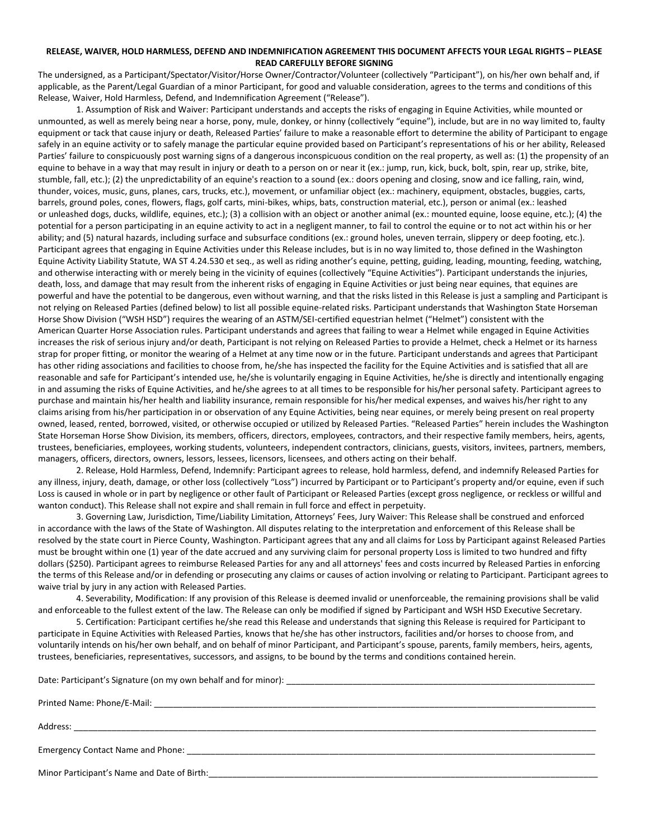## **RELEASE, WAIVER, HOLD HARMLESS, DEFEND AND INDEMNIFICATION AGREEMENT THIS DOCUMENT AFFECTS YOUR LEGAL RIGHTS – PLEASE READ CAREFULLY BEFORE SIGNING**

The undersigned, as a Participant/Spectator/Visitor/Horse Owner/Contractor/Volunteer (collectively "Participant"), on his/her own behalf and, if applicable, as the Parent/Legal Guardian of a minor Participant, for good and valuable consideration, agrees to the terms and conditions of this Release, Waiver, Hold Harmless, Defend, and Indemnification Agreement ("Release").

1. Assumption of Risk and Waiver: Participant understands and accepts the risks of engaging in Equine Activities, while mounted or unmounted, as well as merely being near a horse, pony, mule, donkey, or hinny (collectively "equine"), include, but are in no way limited to, faulty equipment or tack that cause injury or death, Released Parties' failure to make a reasonable effort to determine the ability of Participant to engage safely in an equine activity or to safely manage the particular equine provided based on Participant's representations of his or her ability, Released Parties' failure to conspicuously post warning signs of a dangerous inconspicuous condition on the real property, as well as: (1) the propensity of an equine to behave in a way that may result in injury or death to a person on or near it (ex.: jump, run, kick, buck, bolt, spin, rear up, strike, bite, stumble, fall, etc.); (2) the unpredictability of an equine's reaction to a sound (ex.: doors opening and closing, snow and ice falling, rain, wind, thunder, voices, music, guns, planes, cars, trucks, etc.), movement, or unfamiliar object (ex.: machinery, equipment, obstacles, buggies, carts, barrels, ground poles, cones, flowers, flags, golf carts, mini-bikes, whips, bats, construction material, etc.), person or animal (ex.: leashed or unleashed dogs, ducks, wildlife, equines, etc.); (3) a collision with an object or another animal (ex.: mounted equine, loose equine, etc.); (4) the potential for a person participating in an equine activity to act in a negligent manner, to fail to control the equine or to not act within his or her ability; and (5) natural hazards, including surface and subsurface conditions (ex.: ground holes, uneven terrain, slippery or deep footing, etc.). Participant agrees that engaging in Equine Activities under this Release includes, but is in no way limited to, those defined in the Washington Equine Activity Liability Statute, WA ST 4.24.530 et seq., as well as riding another's equine, petting, guiding, leading, mounting, feeding, watching, and otherwise interacting with or merely being in the vicinity of equines (collectively "Equine Activities"). Participant understands the injuries, death, loss, and damage that may result from the inherent risks of engaging in Equine Activities or just being near equines, that equines are powerful and have the potential to be dangerous, even without warning, and that the risks listed in this Release is just a sampling and Participant is not relying on Released Parties (defined below) to list all possible equine-related risks. Participant understands that Washington State Horseman Horse Show Division ("WSH HSD") requires the wearing of an ASTM/SEI-certified equestrian helmet ("Helmet") consistent with the American Quarter Horse Association rules. Participant understands and agrees that failing to wear a Helmet while engaged in Equine Activities increases the risk of serious injury and/or death, Participant is not relying on Released Parties to provide a Helmet, check a Helmet or its harness strap for proper fitting, or monitor the wearing of a Helmet at any time now or in the future. Participant understands and agrees that Participant has other riding associations and facilities to choose from, he/she has inspected the facility for the Equine Activities and is satisfied that all are reasonable and safe for Participant's intended use, he/she is voluntarily engaging in Equine Activities, he/she is directly and intentionally engaging in and assuming the risks of Equine Activities, and he/she agrees to at all times to be responsible for his/her personal safety. Participant agrees to purchase and maintain his/her health and liability insurance, remain responsible for his/her medical expenses, and waives his/her right to any claims arising from his/her participation in or observation of any Equine Activities, being near equines, or merely being present on real property owned, leased, rented, borrowed, visited, or otherwise occupied or utilized by Released Parties. "Released Parties" herein includes the Washington State Horseman Horse Show Division, its members, officers, directors, employees, contractors, and their respective family members, heirs, agents, trustees, beneficiaries, employees, working students, volunteers, independent contractors, clinicians, guests, visitors, invitees, partners, members, managers, officers, directors, owners, lessors, lessees, licensors, licensees, and others acting on their behalf.

2. Release, Hold Harmless, Defend, Indemnify: Participant agrees to release, hold harmless, defend, and indemnify Released Parties for any illness, injury, death, damage, or other loss (collectively "Loss") incurred by Participant or to Participant's property and/or equine, even if such Loss is caused in whole or in part by negligence or other fault of Participant or Released Parties (except gross negligence, or reckless or willful and wanton conduct). This Release shall not expire and shall remain in full force and effect in perpetuity.

3. Governing Law, Jurisdiction, Time/Liability Limitation, Attorneys' Fees, Jury Waiver: This Release shall be construed and enforced in accordance with the laws of the State of Washington. All disputes relating to the interpretation and enforcement of this Release shall be resolved by the state court in Pierce County, Washington. Participant agrees that any and all claims for Loss by Participant against Released Parties must be brought within one (1) year of the date accrued and any surviving claim for personal property Loss is limited to two hundred and fifty dollars (\$250). Participant agrees to reimburse Released Parties for any and all attorneys' fees and costs incurred by Released Parties in enforcing the terms of this Release and/or in defending or prosecuting any claims or causes of action involving or relating to Participant. Participant agrees to waive trial by jury in any action with Released Parties.

4. Severability, Modification: If any provision of this Release is deemed invalid or unenforceable, the remaining provisions shall be valid and enforceable to the fullest extent of the law. The Release can only be modified if signed by Participant and WSH HSD Executive Secretary.

5. Certification: Participant certifies he/she read this Release and understands that signing this Release is required for Participant to participate in Equine Activities with Released Parties, knows that he/she has other instructors, facilities and/or horses to choose from, and voluntarily intends on his/her own behalf, and on behalf of minor Participant, and Participant's spouse, parents, family members, heirs, agents, trustees, beneficiaries, representatives, successors, and assigns, to be bound by the terms and conditions contained herein.

Date: Participant's Signature (on my own behalf and for minor): \_\_\_\_\_\_\_\_\_\_\_\_\_\_\_\_

Printed Name: Phone/E-Mail: \_\_\_\_\_\_\_\_\_\_\_\_\_\_\_\_\_\_\_\_\_\_\_\_\_\_\_\_\_\_\_\_\_\_\_\_\_\_\_\_\_\_\_\_\_\_\_\_\_\_\_\_\_\_\_\_\_\_\_\_\_\_\_\_\_\_\_\_\_\_\_\_\_\_\_\_\_\_\_\_\_\_\_\_\_\_\_\_\_\_\_\_\_

Address: \_\_\_\_\_\_\_\_\_\_\_\_\_\_\_\_\_\_\_\_\_\_\_\_\_\_\_\_\_\_\_\_\_\_\_\_\_\_\_\_\_\_\_\_\_\_\_\_\_\_\_\_\_\_\_\_\_\_\_\_\_\_\_\_\_\_\_\_\_\_\_\_\_\_\_\_\_\_\_\_\_\_\_\_\_\_\_\_\_\_\_\_\_\_\_\_\_\_\_\_\_\_\_\_\_\_\_\_\_\_

Emergency Contact Name and Phone:

Minor Participant's Name and Date of Birth: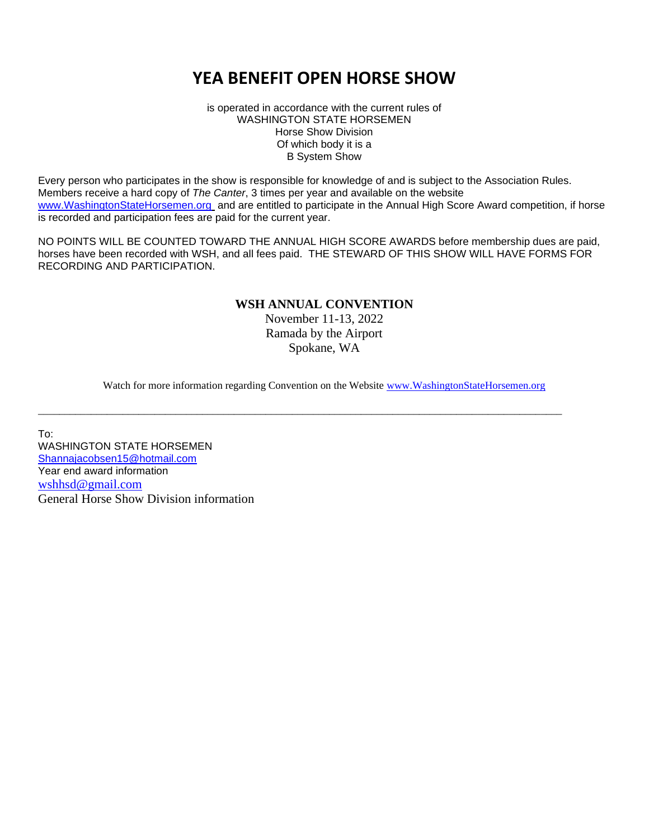# **YEA BENEFIT OPEN HORSE SHOW**

is operated in accordance with the current rules of WASHINGTON STATE HORSEMEN Horse Show Division Of which body it is a B System Show

Every person who participates in the show is responsible for knowledge of and is subject to the Association Rules. Members receive a hard copy of *The Canter*, 3 times per year and available on the website [www.WashingtonStateHorsemen.org](http://www.washingtonstatehorsemen.org/) and are entitled to participate in the Annual High Score Award competition, if horse is recorded and participation fees are paid for the current year.

NO POINTS WILL BE COUNTED TOWARD THE ANNUAL HIGH SCORE AWARDS before membership dues are paid, horses have been recorded with WSH, and all fees paid. THE STEWARD OF THIS SHOW WILL HAVE FORMS FOR RECORDING AND PARTICIPATION.

## **WSH ANNUAL CONVENTION**

November 11-13, 2022 Ramada by the Airport Spokane, WA

Watch for more information regarding Convention on the Website [www.WashingtonStateHorsemen.org](http://www.washingtonstatehorsemen.org/) 

\_\_\_\_\_\_\_\_\_\_\_\_\_\_\_\_\_\_\_\_\_\_\_\_\_\_\_\_\_\_\_\_\_\_\_\_\_\_\_\_\_\_\_\_\_\_\_\_\_\_\_\_\_\_\_\_\_\_\_\_\_\_\_\_\_\_\_\_\_\_\_\_\_\_\_\_\_\_\_\_\_\_\_\_\_\_\_\_\_\_\_\_\_\_\_\_\_\_\_

To: WASHINGTON STATE HORSEMEN [Shannajacobsen15@hotmail.com](mailto:Shannajacobsen15@hotmail.com)  Year end award information [wshhsd@gmail.com](mailto:wshhsd@gmail.com) General Horse Show Division information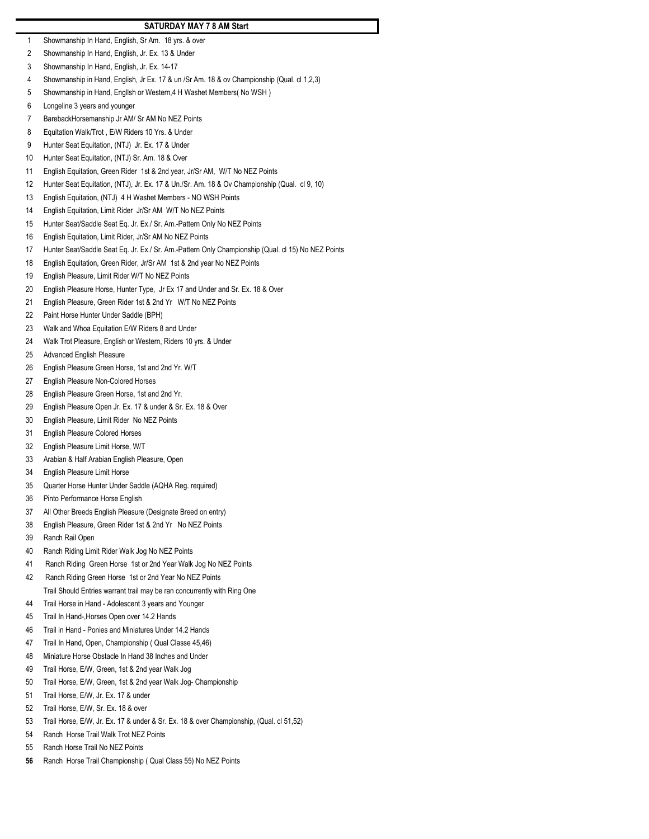### **SATURDAY MAY 7 8 AM Start**

- Showmanship In Hand, English, Sr Am. 18 yrs. & over
- Showmanship In Hand, English, Jr. Ex. 13 & Under
- Showmanship In Hand, English, Jr. Ex. 14-17
- Showmanship in Hand, English, Jr Ex. 17 & un /Sr Am. 18 & ov Championship (Qual. cl 1,2,3)
- Showmanship in Hand, Engllsh or Western,4 H Washet Members( No WSH )
- Longeline 3 years and younger
- BarebackHorsemanship Jr AM/ Sr AM No NEZ Points
- Equitation Walk/Trot , E/W Riders 10 Yrs. & Under
- Hunter Seat Equitation, (NTJ) Jr. Ex. 17 & Under
- Hunter Seat Equitation, (NTJ) Sr. Am. 18 & Over
- English Equitation, Green Rider 1st & 2nd year, Jr/Sr AM, W/T No NEZ Points
- Hunter Seat Equitation, (NTJ), Jr. Ex. 17 & Un./Sr. Am. 18 & Ov Championship (Qual. cl 9, 10)
- English Equitation, (NTJ) 4 H Washet Members NO WSH Points
- English Equitation, Limit Rider Jr/Sr AM W/T No NEZ Points
- Hunter Seat/Saddle Seat Eq. Jr. Ex./ Sr. Am.-Pattern Only No NEZ Points
- English Equitation, Limit Rider, Jr/Sr AM No NEZ Points
- Hunter Seat/Saddle Seat Eq. Jr. Ex./ Sr. Am.-Pattern Only Championship (Qual. cl 15) No NEZ Points
- English Equitation, Green Rider, Jr/Sr AM 1st & 2nd year No NEZ Points
- English Pleasure, Limit Rider W/T No NEZ Points
- English Pleasure Horse, Hunter Type, Jr Ex 17 and Under and Sr. Ex. 18 & Over
- English Pleasure, Green Rider 1st & 2nd Yr W/T No NEZ Points
- Paint Horse Hunter Under Saddle (BPH)
- Walk and Whoa Equitation E/W Riders 8 and Under
- Walk Trot Pleasure, English or Western, Riders 10 yrs. & Under
- Advanced English Pleasure
- English Pleasure Green Horse, 1st and 2nd Yr. W/T
- English Pleasure Non-Colored Horses
- English Pleasure Green Horse, 1st and 2nd Yr.
- English Pleasure Open Jr. Ex. 17 & under & Sr. Ex. 18 & Over
- English Pleasure, Limit Rider No NEZ Points
- English Pleasure Colored Horses
- English Pleasure Limit Horse, W/T
- Arabian & Half Arabian English Pleasure, Open
- English Pleasure Limit Horse
- Quarter Horse Hunter Under Saddle (AQHA Reg. required)
- Pinto Performance Horse English
- All Other Breeds English Pleasure (Designate Breed on entry)
- English Pleasure, Green Rider 1st & 2nd Yr No NEZ Points
- Ranch Rail Open
- Ranch Riding Limit Rider Walk Jog No NEZ Points
- 41 Ranch Riding Green Horse 1st or 2nd Year Walk Jog No NEZ Points
- 42 Ranch Riding Green Horse 1st or 2nd Year No NEZ Points Trail Should Entries warrant trail may be ran concurrently with Ring One
- Trail Horse in Hand Adolescent 3 years and Younger
- Trail In Hand-,Horses Open over 14.2 Hands
- Trail in Hand Ponies and Miniatures Under 14.2 Hands
- Trail In Hand, Open, Championship ( Qual Classe 45,46)
- Miniature Horse Obstacle In Hand 38 Inches and Under
- Trail Horse, E/W, Green, 1st & 2nd year Walk Jog
- Trail Horse, E/W, Green, 1st & 2nd year Walk Jog- Championship
- Trail Horse, E/W, Jr. Ex. 17 & under
- Trail Horse, E/W, Sr. Ex. 18 & over
- Trail Horse, E/W, Jr. Ex. 17 & under & Sr. Ex. 18 & over Championship, (Qual. cl 51,52)
- Ranch Horse Trail Walk Trot NEZ Points
- Ranch Horse Trail No NEZ Points
- Ranch Horse Trail Championship ( Qual Class 55) No NEZ Points